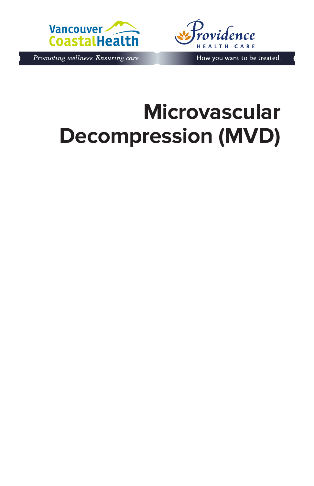

Promoting wellness. Ensuring care.



How you want to be treated.

# **Microvascular Decompression (MVD)**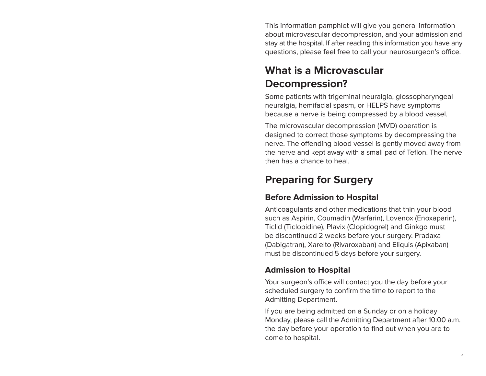This information pamphlet will give you general information about microvascular decompression, and your admission and stay at the hospital. If after reading this information you have any questions, please feel free to call your neurosurgeon's office.

# **What is a Microvascular Decompression?**

Some patients with trigeminal neuralgia, glossopharyngeal neuralgia, hemifacial spasm, or HELPS have symptoms because a nerve is being compressed by a blood vessel.

The microvascular decompression (MVD) operation is designed to correct those symptoms by decompressing the nerve. The offending blood vessel is gently moved away from the nerve and kept away with a small pad of Teflon. The nerve then has a chance to heal.

#### **Preparing for Surgery**

#### **Before Admission to Hospital**

Anticoagulants and other medications that thin your blood such as Aspirin, Coumadin (Warfarin), Lovenox (Enoxaparin), Ticlid (Ticlopidine), Plavix (Clopidogrel) and Ginkgo must be discontinued 2 weeks before your surgery. Pradaxa (Dabigatran), Xarelto (Rivaroxaban) and Eliquis (Apixaban) must be discontinued 5 days before your surgery.

#### **Admission to Hospital**

Your surgeon's office will contact you the day before your scheduled surgery to confirm the time to report to the Admitting Department.

If you are being admitted on a Sunday or on a holiday Monday, please call the Admitting Department after 10:00 a.m. the day before your operation to find out when you are to come to hospital.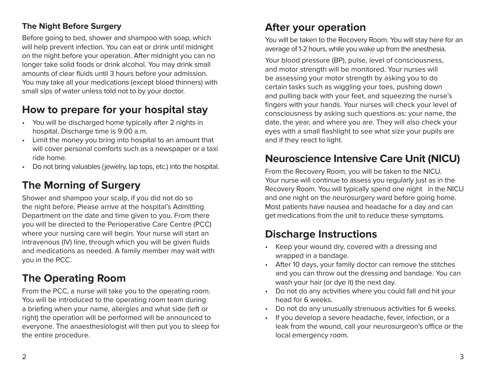#### **The Night Before Surgery**

Before going to bed, shower and shampoo with soap, which will help prevent infection. You can eat or drink until midnight on the night before your operation. After midnight you can no longer take solid foods or drink alcohol. You may drink small amounts of clear fluids until 3 hours before your admission. You may take all your medications (except blood thinners) with small sips of water unless told not to by your doctor.

# **How to prepare for your hospital stay**

- You will be discharged home typically after 2 nights in hospital. Discharge time is 9:00 a.m.
- Limit the money you bring into hospital to an amount that will cover personal comforts such as a newspaper or a taxi ride home.
- Do not bring valuables (jewelry, lap tops, etc.) into the hospital.

# **The Morning of Surgery**

Shower and shampoo your scalp, if you did not do so the night before. Please arrive at the hospital's Admitting Department on the date and time given to you. From there you will be directed to the Perioperative Care Centre (PCC) where your nursing care will begin. Your nurse will start an intravenous (IV) line, through which you will be given fluids and medications as needed. A family member may wait with you in the PCC.

# **The Operating Room**

From the PCC, a nurse will take you to the operating room. You will be introduced to the operating room team during a briefing when your name, allergies and what side (left or right) the operation will be performed will be announced to everyone. The anaesthesiologist will then put you to sleep for the entire procedure.

#### **After your operation**

You will be taken to the Recovery Room. You will stay here for an average of 1-2 hours, while you wake up from the anesthesia.

Your blood pressure (BP), pulse, level of consciousness, and motor strength will be monitored. Your nurses will be assessing your motor strength by asking you to do certain tasks such as wiggling your toes, pushing down and pulling back with your feet, and squeezing the nurse's fingers with your hands. Your nurses will check your level of consciousness by asking such questions as: your name, the date, the year, and where you are. They will also check your eyes with a small flashlight to see what size your pupils are and if they react to light.

### **Neuroscience Intensive Care Unit (NICU)**

From the Recovery Room, you will be taken to the NICU. Your nurse will continue to assess you regularly just as in the Recovery Room. You will typically spend one night in the NICU and one night on the neurosurgery ward before going home. Most patients have nausea and headache for a day and can get medications from the unit to reduce these symptoms.

# **Discharge Instructions**

- Keep your wound dry, covered with a dressing and wrapped in a bandage.
- After 10 days, your family doctor can remove the stitches and you can throw out the dressing and bandage. You can wash your hair (or dye it) the next day.
- Do not do any activities where you could fall and hit your head for 6 weeks.
- Do not do any unusually strenuous activities for 6 weeks.
- If you develop a severe headache, fever, infection, or a leak from the wound, call your neurosurgeon's office or the local emergency room.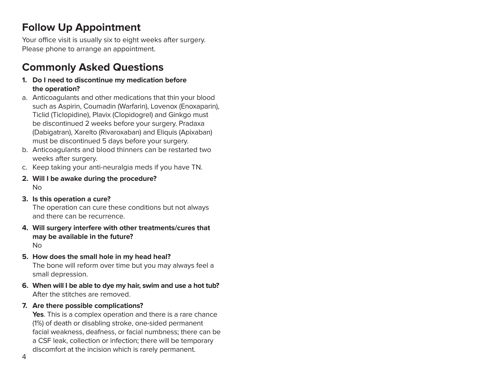### **Follow Up Appointment**

Your office visit is usually six to eight weeks after surgery. Please phone to arrange an appointment.

# **Commonly Asked Questions**

- **1. Do I need to discontinue my medication before the operation?**
- a. Anticoagulants and other medications that thin your blood such as Aspirin, Coumadin (Warfarin), Lovenox (Enoxaparin), Ticlid (Ticlopidine), Plavix (Clopidogrel) and Ginkgo must be discontinued 2 weeks before your surgery. Pradaxa (Dabigatran), Xarelto (Rivaroxaban) and Eliquis (Apixaban) must be discontinued 5 days before your surgery.
- b. Anticoagulants and blood thinners can be restarted two weeks after surgery.
- c. Keep taking your anti-neuralgia meds if you have TN.
- **2. Will I be awake during the procedure?** No
- **3. Is this operation a cure?**

The operation can cure these conditions but not always and there can be recurrence.

- **4. Will surgery interfere with other treatments/cures that may be available in the future?**  No
- **5. How does the small hole in my head heal?**

The bone will reform over time but you may always feel a small depression.

- **6. When will I be able to dye my hair, swim and use a hot tub?** After the stitches are removed.
- **7. Are there possible complications?**

**Yes**. This is a complex operation and there is a rare chance (1%) of death or disabling stroke, one-sided permanent facial weakness, deafness, or facial numbness; there can be a CSF leak, collection or infection; there will be temporary discomfort at the incision which is rarely permanent.